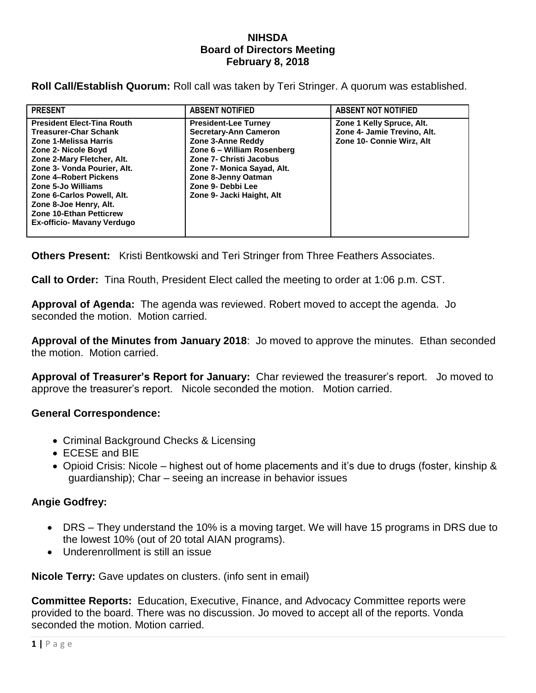## **NIHSDA Board of Directors Meeting February 8, 2018**

**Roll Call/Establish Quorum:** Roll call was taken by Teri Stringer. A quorum was established.

| <b>PRESENT</b>                                                                                                                                                                                                                                                                                                                                        | <b>ABSENT NOTIFIED</b>                                                                                                                                                                                                                           | <b>ABSENT NOT NOTIFIED</b>                                                            |
|-------------------------------------------------------------------------------------------------------------------------------------------------------------------------------------------------------------------------------------------------------------------------------------------------------------------------------------------------------|--------------------------------------------------------------------------------------------------------------------------------------------------------------------------------------------------------------------------------------------------|---------------------------------------------------------------------------------------|
| <b>President Elect-Tina Routh</b><br><b>Treasurer-Char Schank</b><br>Zone 1-Melissa Harris<br>Zone 2- Nicole Boyd<br>Zone 2-Mary Fletcher, Alt.<br>Zone 3- Vonda Pourier, Alt.<br>Zone 4-Robert Pickens<br>Zone 5-Jo Williams<br>Zone 6-Carlos Powell, Alt.<br>Zone 8-Joe Henry, Alt.<br><b>Zone 10-Ethan Petticrew</b><br>Ex-officio- Mavany Verdugo | <b>President-Lee Turney</b><br><b>Secretary-Ann Cameron</b><br>Zone 3-Anne Reddy<br>Zone 6 - William Rosenberg<br>Zone 7- Christi Jacobus<br>Zone 7- Monica Sayad, Alt.<br>Zone 8-Jenny Oatman<br>Zone 9- Debbi Lee<br>Zone 9- Jacki Haight, Alt | Zone 1 Kelly Spruce, Alt.<br>Zone 4- Jamie Trevino, Alt.<br>Zone 10- Connie Wirz, Alt |

**Others Present:** Kristi Bentkowski and Teri Stringer from Three Feathers Associates.

**Call to Order:** Tina Routh, President Elect called the meeting to order at 1:06 p.m. CST.

**Approval of Agenda:** The agenda was reviewed. Robert moved to accept the agenda. Jo seconded the motion. Motion carried.

**Approval of the Minutes from January 2018**: Jo moved to approve the minutes. Ethan seconded the motion. Motion carried.

**Approval of Treasurer's Report for January:** Char reviewed the treasurer's report. Jo moved to approve the treasurer's report. Nicole seconded the motion. Motion carried.

## **General Correspondence:**

- Criminal Background Checks & Licensing
- ECESE and BIE
- Opioid Crisis: Nicole highest out of home placements and it's due to drugs (foster, kinship & guardianship); Char – seeing an increase in behavior issues

## **Angie Godfrey:**

- DRS They understand the 10% is a moving target. We will have 15 programs in DRS due to the lowest 10% (out of 20 total AIAN programs).
- Underenrollment is still an issue

**Nicole Terry:** Gave updates on clusters. (info sent in email)

**Committee Reports:** Education, Executive, Finance, and Advocacy Committee reports were provided to the board. There was no discussion. Jo moved to accept all of the reports. Vonda seconded the motion. Motion carried.